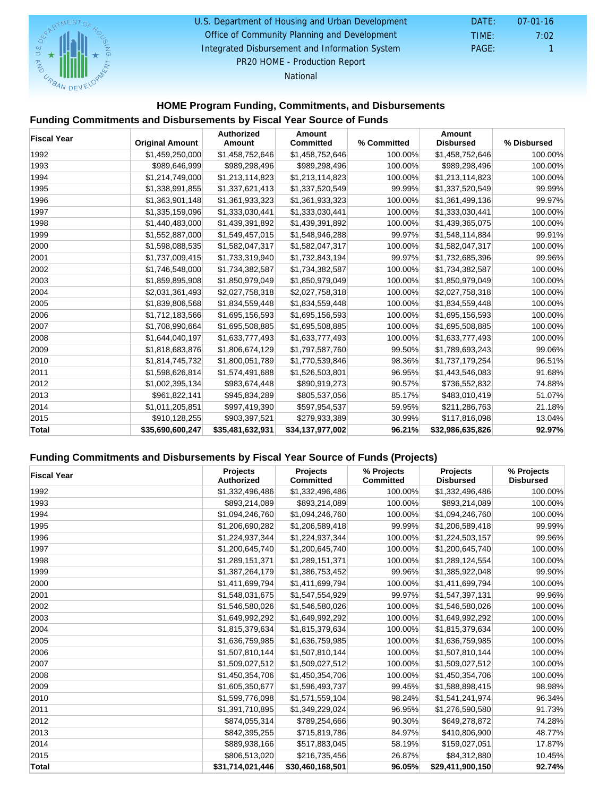#### U.S. Department of Housing and Urban Development DATE: 07-01-16

Office of Community Planning and Development

 DATE: TIME: PAGE: 1 7:02

Integrated Disbursement and Information System PR20 HOME - Production Report

National

## HOME Program Funding, Commitments, and Disbursements

#### Funding Commitments and Disbursements by Fiscal Year Source of Funds

| <b>Fiscal Year</b> | <b>Original Amount</b> | Authorized<br>Amount | Amount<br>Committed | % Committed | Amount<br>Disbursed | % Disbursed |
|--------------------|------------------------|----------------------|---------------------|-------------|---------------------|-------------|
| 1992               | \$1,459,250,000        | \$1,458,752,646      | \$1,458,752,646     | 100.00%     | \$1,458,752,646     | 100.00%     |
| 1993               | \$989,646,999          | \$989,298,496        | \$989,298,496       | 100.00%     | \$989,298,496       | 100.00%     |
| 1994               | \$1,214,749,000        | \$1,213,114,823      | \$1,213,114,823     | 100.00%     | \$1,213,114,823     | 100.00%     |
| 1995               | \$1,338,991,855        | \$1,337,621,413      | \$1,337,520,549     | 99.99%      | \$1,337,520,549     | 99.99%      |
| 1996               | \$1,363,901,148        | \$1,361,933,323      | \$1,361,933,323     | 100.00%     | \$1,361,499,136     | 99.97%      |
| 1997               | \$1,335,159,096        | \$1,333,030,441      | \$1,333,030,441     | 100.00%     | \$1,333,030,441     | 100.00%     |
| 1998               | \$1,440,483,000        | \$1,439,391,892      | \$1,439,391,892     | 100.00%     | \$1,439,365,075     | 100.00%     |
| 1999               | \$1,552,887,000        | \$1,549,457,015      | \$1,548,946,288     | 99.97%      | \$1,548,114,884     | 99.91%      |
| 2000               | \$1,598,088,535        | \$1,582,047,317      | \$1,582,047,317     | 100.00%     | \$1,582,047,317     | 100.00%     |
| 2001               | \$1,737,009,415        | \$1,733,319,940      | \$1,732,843,194     | 99.97%      | \$1,732,685,396     | 99.96%      |
| 2002               | \$1,746,548,000        | \$1,734,382,587      | \$1,734,382,587     | 100.00%     | \$1,734,382,587     | 100.00%     |
| 2003               | \$1,859,895,908        | \$1,850,979,049      | \$1,850,979,049     | 100.00%     | \$1,850,979,049     | 100.00%     |
| 2004               | \$2,031,361,493        | \$2,027,758,318      | \$2,027,758,318     | 100.00%     | \$2,027,758,318     | 100.00%     |
| 2005               | \$1,839,806,568        | \$1,834,559,448      | \$1,834,559,448     | 100.00%     | \$1,834,559,448     | 100.00%     |
| 2006               | \$1,712,183,566        | \$1,695,156,593      | \$1,695,156,593     | 100.00%     | \$1,695,156,593     | 100.00%     |
| 2007               | \$1,708,990,664        | \$1,695,508,885      | \$1,695,508,885     | 100.00%     | \$1,695,508,885     | 100.00%     |
| 2008               | \$1,644,040,197        | \$1,633,777,493      | \$1,633,777,493     | 100.00%     | \$1,633,777,493     | 100.00%     |
| 2009               | \$1,818,683,876        | \$1,806,674,129      | \$1,797,587,760     | 99.50%      | \$1,789,693,243     | 99.06%      |
| 2010               | \$1,814,745,732        | \$1,800,051,789      | \$1,770,539,846     | 98.36%      | \$1,737,179,254     | 96.51%      |
| 2011               | \$1,598,626,814        | \$1,574,491,688      | \$1,526,503,801     | 96.95%      | \$1,443,546,083     | 91.68%      |
| 2012               | \$1,002,395,134        | \$983,674,448        | \$890,919,273       | 90.57%      | \$736,552,832       | 74.88%      |
| 2013               | \$961,822,141          | \$945,834,289        | \$805,537,056       | 85.17%      | \$483,010,419       | 51.07%      |
| 2014               | \$1,011,205,851        | \$997,419,390        | \$597,954,537       | 59.95%      | \$211,286,763       | 21.18%      |
| 2015               | \$910,128,255          | \$903,397,521        | \$279,933,389       | 30.99%      | \$117,816,098       | 13.04%      |
| Total              | \$35,690,600,247       | \$35,481,632,931     | \$34,137,977,002    | 96.21%      | \$32,986,635,826    | 92.97%      |

#### Funding Commitments and Disbursements by Fiscal Year Source of Funds (Projects)

| <b>Fiscal Year</b> | Projects<br>Authorized | Projects<br>Committed | % Projects<br>Committed | Projects<br><b>Disbursed</b> | % Projects<br><b>Disbursed</b> |
|--------------------|------------------------|-----------------------|-------------------------|------------------------------|--------------------------------|
| 1992               | \$1,332,496,486        | \$1,332,496,486       | 100.00%                 | \$1,332,496,486              | 100.00%                        |
| 1993               | \$893,214,089          | \$893,214,089         | 100.00%                 | \$893,214,089                | 100.00%                        |
| 1994               | \$1,094,246,760        | \$1,094,246,760       | 100.00%                 | \$1,094,246,760              | 100.00%                        |
| 1995               | \$1,206,690,282        | \$1,206,589,418       | 99.99%                  | \$1,206,589,418              | 99.99%                         |
| 1996               | \$1,224,937,344        | \$1,224,937,344       | 100.00%                 | \$1,224,503,157              | 99.96%                         |
| 1997               | \$1,200,645,740        | \$1,200,645,740       | 100.00%                 | \$1,200,645,740              | 100.00%                        |
| 1998               | \$1,289,151,371        | \$1,289,151,371       | 100.00%                 | \$1,289,124,554              | 100.00%                        |
| 1999               | \$1,387,264,179        | \$1,386,753,452       | 99.96%                  | \$1,385,922,048              | 99.90%                         |
| 2000               | \$1,411,699,794        | \$1,411,699,794       | 100.00%                 | \$1,411,699,794              | 100.00%                        |
| 2001               | \$1,548,031,675        | \$1,547,554,929       | 99.97%                  | \$1,547,397,131              | 99.96%                         |
| 2002               | \$1,546,580,026        | \$1,546,580,026       | 100.00%                 | \$1,546,580,026              | 100.00%                        |
| 2003               | \$1,649,992,292        | \$1,649,992,292       | 100.00%                 | \$1,649,992,292              | 100.00%                        |
| 2004               | \$1,815,379,634        | \$1,815,379,634       | 100.00%                 | \$1,815,379,634              | 100.00%                        |
| 2005               | \$1,636,759,985        | \$1,636,759,985       | 100.00%                 | \$1,636,759,985              | 100.00%                        |
| 2006               | \$1,507,810,144        | \$1,507,810,144       | 100.00%                 | \$1,507,810,144              | 100.00%                        |
| 2007               | \$1,509,027,512        | \$1,509,027,512       | 100.00%                 | \$1,509,027,512              | 100.00%                        |
| 2008               | \$1,450,354,706        | \$1,450,354,706       | 100.00%                 | \$1,450,354,706              | 100.00%                        |
| 2009               | \$1,605,350,677        | \$1,596,493,737       | 99.45%                  | \$1,588,898,415              | 98.98%                         |
| 2010               | \$1,599,776,098        | \$1,571,559,104       | 98.24%                  | \$1,541,241,974              | 96.34%                         |
| 2011               | \$1,391,710,895        | \$1,349,229,024       | 96.95%                  | \$1,276,590,580              | 91.73%                         |
| 2012               | \$874,055,314          | \$789,254,666         | 90.30%                  | \$649,278,872                | 74.28%                         |
| 2013               | \$842,395,255          | \$715,819,786         | 84.97%                  | \$410,806,900                | 48.77%                         |
| 2014               | \$889,938,166          | \$517,883,045         | 58.19%                  | \$159,027,051                | 17.87%                         |
| 2015               | \$806,513,020          | \$216,735,456         | 26.87%                  | \$84,312,880                 | 10.45%                         |
| Total              | \$31,714,021,446       | \$30,460,168,501      | 96.05%                  | \$29.411.900.150             | 92.74%                         |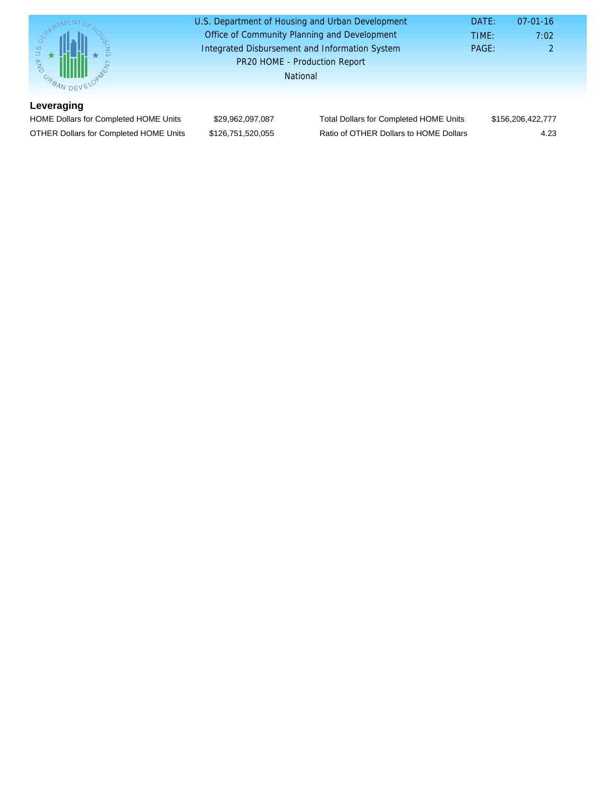| 7:02              |
|-------------------|
| 2                 |
|                   |
|                   |
|                   |
| \$156,206,422,777 |
| 4.23              |
|                   |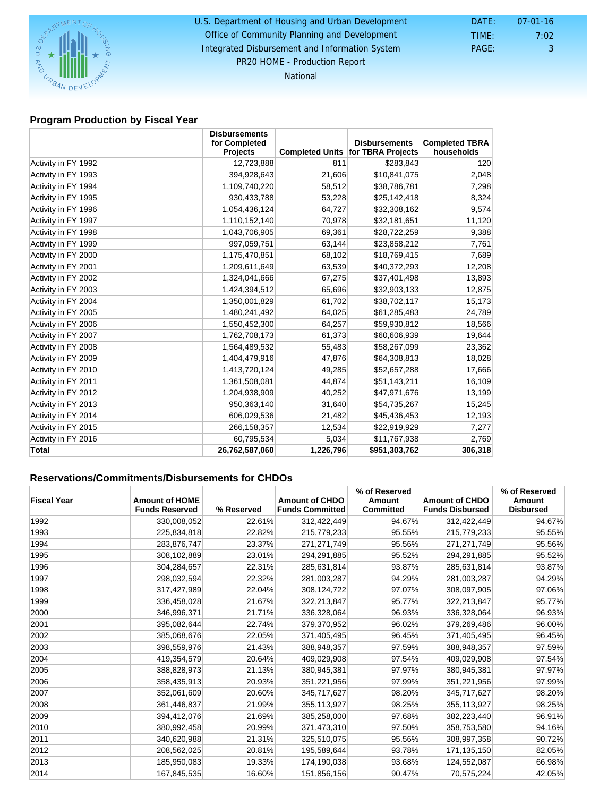# U.S. Department of Housing and Urban Development DATE: 07-01-16

## Office of Community Planning and Development

 DATE: TIME: PAGE: 3 7:02

Integrated Disbursement and Information System PR20 HOME - Production Report

National

#### Program Production by Fiscal Year

|                     | <b>Disbursements</b>      |                        |                      |                                     |
|---------------------|---------------------------|------------------------|----------------------|-------------------------------------|
|                     | for Completed<br>Projects |                        | <b>Disbursements</b> | <b>Completed TBRA</b><br>households |
|                     |                           | <b>Completed Units</b> | for TBRA Projects    |                                     |
| Activity in FY 1992 | 12,723,888                | 811                    | \$283,843            | 120                                 |
| Activity in FY 1993 | 394,928,643               | 21,606                 | \$10,841,075         | 2,048                               |
| Activity in FY 1994 | 1,109,740,220             | 58,512                 | \$38,786,781         | 7,298                               |
| Activity in FY 1995 | 930,433,788               | 53,228                 | \$25,142,418         | 8,324                               |
| Activity in FY 1996 | 1,054,436,124             | 64,727                 | \$32,308,162         | 9,574                               |
| Activity in FY 1997 | 1,110,152,140             | 70,978                 | \$32,181,651         | 11,120                              |
| Activity in FY 1998 | 1,043,706,905             | 69,361                 | \$28,722,259         | 9,388                               |
| Activity in FY 1999 | 997,059,751               | 63,144                 | \$23,858,212         | 7,761                               |
| Activity in FY 2000 | 1,175,470,851             | 68,102                 | \$18,769,415         | 7,689                               |
| Activity in FY 2001 | 1,209,611,649             | 63,539                 | \$40,372,293         | 12,208                              |
| Activity in FY 2002 | 1,324,041,666             | 67,275                 | \$37,401,498         | 13,893                              |
| Activity in FY 2003 | 1,424,394,512             | 65,696                 | \$32,903,133         | 12,875                              |
| Activity in FY 2004 | 1,350,001,829             | 61,702                 | \$38,702,117         | 15,173                              |
| Activity in FY 2005 | 1,480,241,492             | 64,025                 | \$61,285,483         | 24,789                              |
| Activity in FY 2006 | 1,550,452,300             | 64,257                 | \$59,930,812         | 18,566                              |
| Activity in FY 2007 | 1,762,708,173             | 61,373                 | \$60,606,939         | 19,644                              |
| Activity in FY 2008 | 1,564,489,532             | 55,483                 | \$58,267,099         | 23,362                              |
| Activity in FY 2009 | 1,404,479,916             | 47,876                 | \$64,308,813         | 18,028                              |
| Activity in FY 2010 | 1,413,720,124             | 49,285                 | \$52,657,288         | 17,666                              |
| Activity in FY 2011 | 1,361,508,081             | 44,874                 | \$51,143,211         | 16,109                              |
| Activity in FY 2012 | 1,204,938,909             | 40,252                 | \$47,971,676         | 13,199                              |
| Activity in FY 2013 | 950,363,140               | 31,640                 | \$54,735,267         | 15,245                              |
| Activity in FY 2014 | 606,029,536               | 21,482                 | \$45,436,453         | 12,193                              |
| Activity in FY 2015 | 266, 158, 357             | 12,534                 | \$22,919,929         | 7,277                               |
| Activity in FY 2016 | 60,795,534                | 5,034                  | \$11,767,938         | 2,769                               |
| Total               | 26,762,587,060            | 1,226,796              | \$951,303,762        | 306,318                             |

## Reservations/Commitments/Disbursements for CHDOs

| <b>Fiscal Year</b> | Amount of HOME<br><b>Funds Reserved</b> | % Reserved | Amount of CHDO<br><b>Funds Committed</b> | % of Reserved<br>Amount<br>Committed | Amount of CHDO<br><b>Funds Disbursed</b> | % of Reserved<br>Amount<br>Disbursed |
|--------------------|-----------------------------------------|------------|------------------------------------------|--------------------------------------|------------------------------------------|--------------------------------------|
| 1992               | 330,008,052                             | 22.61%     | 312,422,449                              | 94.67%                               | 312,422,449                              | 94.67%                               |
| 1993               | 225,834,818                             | 22.82%     | 215,779,233                              | 95.55%                               | 215,779,233                              | 95.55%                               |
| 1994               | 283,876,747                             | 23.37%     | 271,271,749                              | 95.56%                               | 271,271,749                              | 95.56%                               |
| 1995               | 308,102,889                             | 23.01%     | 294,291,885                              | 95.52%                               | 294,291,885                              | 95.52%                               |
| 1996               | 304,284,657                             | 22.31%     | 285,631,814                              | 93.87%                               | 285,631,814                              | 93.87%                               |
| 1997               | 298,032,594                             | 22.32%     | 281,003,287                              | 94.29%                               | 281,003,287                              | 94.29%                               |
| 1998               | 317,427,989                             | 22.04%     | 308,124,722                              | 97.07%                               | 308,097,905                              | 97.06%                               |
| 1999               | 336,458,028                             | 21.67%     | 322,213,847                              | 95.77%                               | 322,213,847                              | 95.77%                               |
| 2000               | 346,996,371                             | 21.71%     | 336,328,064                              | 96.93%                               | 336,328,064                              | 96.93%                               |
| 2001               | 395,082,644                             | 22.74%     | 379,370,952                              | 96.02%                               | 379,269,486                              | 96.00%                               |
| 2002               | 385,068,676                             | 22.05%     | 371,405,495                              | 96.45%                               | 371,405,495                              | 96.45%                               |
| 2003               | 398,559,976                             | 21.43%     | 388,948,357                              | 97.59%                               | 388,948,357                              | 97.59%                               |
| 2004               | 419,354,579                             | 20.64%     | 409,029,908                              | 97.54%                               | 409,029,908                              | 97.54%                               |
| 2005               | 388,828,973                             | 21.13%     | 380,945,381                              | 97.97%                               | 380,945,381                              | 97.97%                               |
| 2006               | 358,435,913                             | 20.93%     | 351,221,956                              | 97.99%                               | 351,221,956                              | 97.99%                               |
| 2007               | 352,061,609                             | 20.60%     | 345,717,627                              | 98.20%                               | 345,717,627                              | 98.20%                               |
| 2008               | 361,446,837                             | 21.99%     | 355,113,927                              | 98.25%                               | 355,113,927                              | 98.25%                               |
| 2009               | 394,412,076                             | 21.69%     | 385,258,000                              | 97.68%                               | 382,223,440                              | 96.91%                               |
| 2010               | 380,992,458                             | 20.99%     | 371,473,310                              | 97.50%                               | 358,753,580                              | 94.16%                               |
| 2011               | 340,620,988                             | 21.31%     | 325,510,075                              | 95.56%                               | 308,997,358                              | 90.72%                               |
| 2012               | 208,562,025                             | 20.81%     | 195,589,644                              | 93.78%                               | 171,135,150                              | 82.05%                               |
| 2013               | 185,950,083                             | 19.33%     | 174,190,038                              | 93.68%                               | 124,552,087                              | 66.98%                               |
| 2014               | 167,845,535                             | 16.60%     | 151,856,156                              | 90.47%                               | 70,575,224                               | 42.05%                               |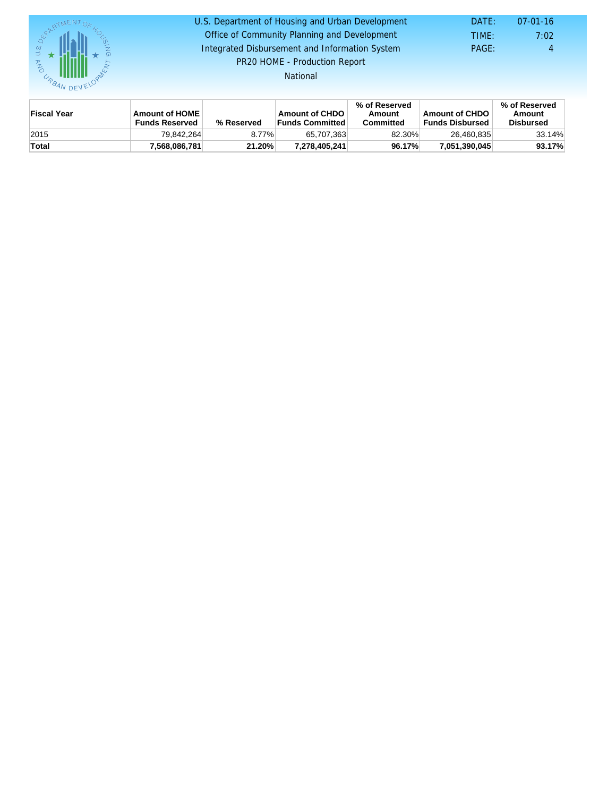#### DATE: TIME: PAGE: 4 7:02 U.S. Department of Housing and Urban Development DATE: 07-01-16 Office of Community Planning and Development Integrated Disbursement and Information System PR20 HOME - Production Report

National

| Fiscal Year | Amount of HOME<br><b>Funds Reserved</b> | % Reserved | Amount of CHDO<br>⊦Funds Committed | % of Reserved<br>Amount<br>Committed | Amount of CHDO<br><b>Funds Disbursed</b> | % of Reserved<br>Amount<br>Disbursed |
|-------------|-----------------------------------------|------------|------------------------------------|--------------------------------------|------------------------------------------|--------------------------------------|
| 2015        | 79.842.264                              | 8.77%      | 65.707.363                         | 82.30%                               | 26.460.835                               | 33.14%                               |
| Total       | 7,568,086,781                           | 21.20%     | 7.278.405.241                      | 96.17%                               | 7.051.390.045                            | 93.17%                               |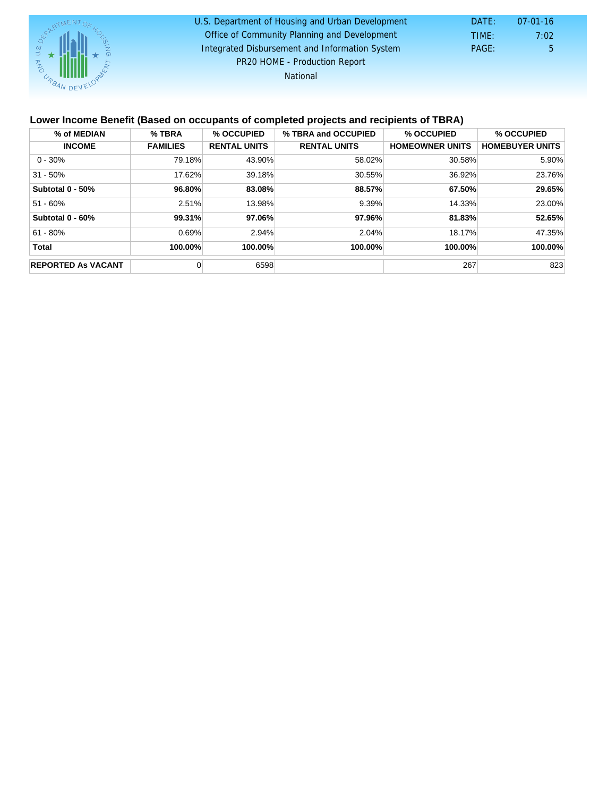| U.S. Department of Housing and Urban Development | DATE: | 07-01-16     |
|--------------------------------------------------|-------|--------------|
| Office of Community Planning and Development     | TIME: | 7:02         |
| Integrated Disbursement and Information System   | PAGE: | $\mathbf{b}$ |
| PR20 HOME - Production Report                    |       |              |
| National                                         |       |              |

### Lower Income Benefit (Based on occupants of completed projects and recipients of TBRA)

| % of MEDIAN               | % TBRA          | % OCCUPIED          | % TBRA and OCCUPIED | % OCCUPIED             | % OCCUPIED             |
|---------------------------|-----------------|---------------------|---------------------|------------------------|------------------------|
| <b>INCOME</b>             | <b>FAMILIES</b> | <b>RENTAL UNITS</b> | <b>RENTAL UNITS</b> | <b>HOMEOWNER UNITS</b> | <b>HOMEBUYER UNITS</b> |
| $0 - 30%$                 | 79.18%          | 43.90%              | 58.02%              | 30.58%                 | 5.90%                  |
| $31 - 50%$                | 17.62%          | 39.18%              | 30.55%              | 36.92%                 | 23.76%                 |
| Subtotal 0 - 50%          | 96.80%          | 83.08%              | 88.57%              | 67.50%                 | 29.65%                 |
| $51 - 60%$                | 2.51%           | 13.98%              | 9.39%               | 14.33%                 | 23.00%                 |
| Subtotal 0 - 60%          | 99.31%          | 97.06%              | 97.96%              | 81.83%                 | 52.65%                 |
| $61 - 80%$                | 0.69%           | 2.94%               | 2.04%               | 18.17%                 | 47.35%                 |
| Total                     | 100.00%         | 100.00%             | 100.00%             | 100.00%                | 100.00%                |
| <b>REPORTED As VACANT</b> |                 | 6598                |                     | 267                    | 823                    |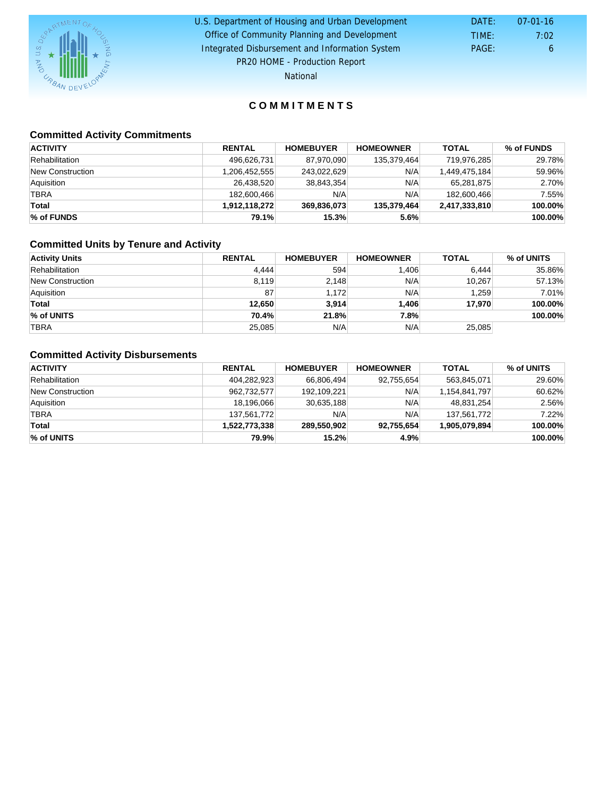| U.S. Department of Housing and Urban Development | DATE: | $07-01-16$ |
|--------------------------------------------------|-------|------------|
|                                                  |       |            |
| Office of Community Planning and Development     | TIME: | 7:02       |
| Integrated Disbursement and Information System   | PAGE: | 6          |
| PR20 HOME - Production Report                    |       |            |

National

## COMMITMENTS

## Committed Activity Commitments

| <b>ACTIVITY</b>  | RENTAL        | <b>HOMEBUYER</b> | <b>HOMEOWNER</b> | TOTAL         | % of FUNDS |
|------------------|---------------|------------------|------------------|---------------|------------|
| Rehabilitation   | 496,626,731   | 87.970.090       | 135.379.464      | 719.976.285   | 29.78%     |
| New Construction | 1,206,452,555 | 243,022,629      | N/A              | 1,449,475,184 | 59.96%     |
| Aquisition       | 26.438.520    | 38,843,354       | N/A              | 65.281.875    | 2.70%      |
| <b>TBRA</b>      | 182,600,466   | N/A              | N/A              | 182,600,466   | 7.55%      |
| Total            | 1.912.118.272 | 369.836.073      | 135.379.464      | 2,417,333,810 | 100.00%    |
| % of FUNDS       | 79.1%         | 15.3%            | 5.6%             |               | 100.00%    |

## Committed Units by Tenure and Activity

| <b>Activity Units</b> | RENTAL | <b>HOMEBUYER</b> | <b>HOMEOWNER</b> | <b>TOTAL</b> | % of UNITS |
|-----------------------|--------|------------------|------------------|--------------|------------|
| Rehabilitation        | 4.444  | 594              | 1,406            | 6.444        | 35.86%     |
| New Construction      | 8,119  | 2,148            | N/A              | 10.267       | 57.13%     |
| Aquisition            | 87     | 1.172            | N/A              | 1.259        | 7.01%      |
| Total                 | 12.650 | 3,914            | 1.406            | 17.970       | 100.00%    |
| % of UNITS            | 70.4%  | 21.8%            | 7.8%             |              | 100.00%    |
| <b>TBRA</b>           | 25,085 | N/A              | N/A              | 25,085       |            |

## Committed Activity Disbursements

| <b>ACTIVITY</b>  | <b>RENTAL</b> | <b>HOMEBUYER</b> | <b>HOMEOWNER</b> | <b>TOTAL</b>  | % of UNITS |
|------------------|---------------|------------------|------------------|---------------|------------|
| Rehabilitation   | 404,282,923   | 66,806,494       | 92,755,654       | 563,845,071   | 29.60%     |
| New Construction | 962,732,577   | 192,109,221      | N/A              | 1,154,841,797 | 60.62%     |
| Aquisition       | 18,196,066    | 30,635,188       | N/A              | 48,831,254    | 2.56%      |
| <b>TBRA</b>      | 137,561,772   | N/A              | N/A              | 137.561.772   | 7.22%      |
| Total            | 1,522,773,338 | 289,550,902      | 92,755,654       | 1,905,079,894 | 100.00%    |
| % of UNITS       | 79.9%         | 15.2%            | 4.9%             |               | 100.00%    |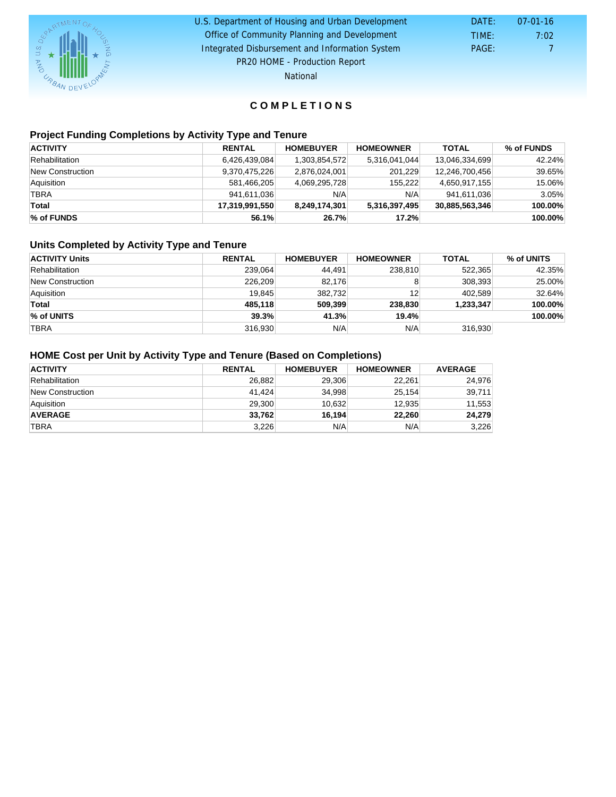#### DATE: TIME: PAGE: 7 7:02 U.S. Department of Housing and Urban Development DATE: 07-01-16 Office of Community Planning and Development Integrated Disbursement and Information System PR20 HOME - Production Report

National

## C O M P L E T I O N S

## Project Funding Completions by Activity Type and Tenure

| <b>ACTIVITY</b>  | RENTAL         | <b>HOMEBUYER</b> | <b>HOMEOWNER</b> | <b>TOTAL</b>   | % of FUNDS |
|------------------|----------------|------------------|------------------|----------------|------------|
| Rehabilitation   | 6,426,439,084  | 1,303,854,572    | 5,316,041,044    | 13,046,334,699 | 42.24%     |
| New Construction | 9,370,475,226  | 2,876,024,001    | 201.229          | 12,246,700,456 | 39.65%     |
| Aquisition       | 581.466.205    | 4,069,295,728    | 155.222          | 4,650,917,155  | 15.06%     |
| <b>TBRA</b>      | 941.611.036    | N/A              | N/A              | 941,611,036    | 3.05%      |
| Total            | 17,319,991,550 | 8.249.174.301    | 5,316,397,495    | 30,885,563,346 | 100.00%    |
| % of FUNDS       | 56.1%          | 26.7%            | 17.2%            |                | 100.00%    |

### Units Completed by Activity Type and Tenure

| <b>ACTIVITY Units</b> | RENTAL  | <b>HOMEBUYER</b> | <b>HOMEOWNER</b> | TOTAL     | % of UNITS |
|-----------------------|---------|------------------|------------------|-----------|------------|
| Rehabilitation        | 239.064 | 44.491           | 238,810          | 522.365   | 42.35%     |
| New Construction      | 226.209 | 82.176           |                  | 308.393   | 25.00%     |
| Aquisition            | 19.845  | 382.732          | 12               | 402.589   | 32.64%     |
| Total                 | 485.118 | 509.399          | 238.830          | 1,233,347 | 100.00%    |
| % of UNITS            | 39.3%   | 41.3%            | 19.4%            |           | 100.00%    |
| TBRA                  | 316.930 | N/A              | N/A              | 316,930   |            |

## HOME Cost per Unit by Activity Type and Tenure (Based on Completions)

| <b>ACTIVITY</b>  | RENTAL | <b>HOMEBUYER</b> | <b>HOMEOWNER</b> | AVERAGE |
|------------------|--------|------------------|------------------|---------|
| Rehabilitation   | 26.882 | 29,306           | 22.261           | 24,976  |
| New Construction | 41.424 | 34.998           | 25,154           | 39,711  |
| Aquisition       | 29,300 | 10.632           | 12,935           | 11,553  |
| AVERAGE          | 33,762 | 16.194           | 22,260           | 24,279  |
| <b>TBRA</b>      | 3,226  | N/A              | N/A              | 3,226   |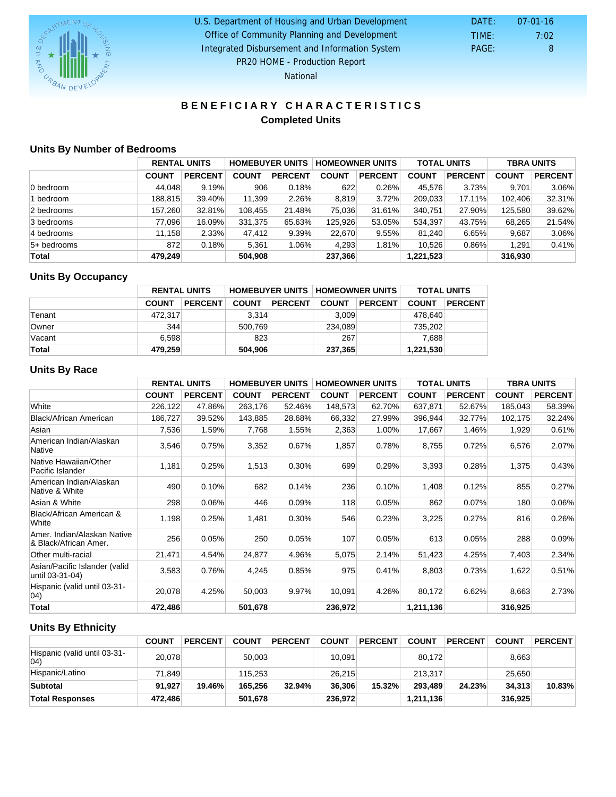| U.S. Department of Housing and Urban Development | DATE: | 07-01-16 |
|--------------------------------------------------|-------|----------|
| Office of Community Planning and Development     | TIME: | 7:02     |
| Integrated Disbursement and Information System   | PAGE: | 8        |
| PR20 HOME - Production Report                    |       |          |

National

## BENEFICIARY CHARACTERISTICS Completed Units

## Units By Number of Bedrooms

|               | <b>RENTAL UNITS</b> |                | <b>HOMEBUYER UNITS</b> |         | <b>HOMEOWNER UNITS</b> |                | <b>TOTAL UNITS</b> |                | TBRA UNITS   |         |
|---------------|---------------------|----------------|------------------------|---------|------------------------|----------------|--------------------|----------------|--------------|---------|
|               | <b>COUNT</b>        | <b>PERCENT</b> | <b>COUNT</b>           | PERCENT | <b>COUNT</b>           | <b>PERCENT</b> | <b>COUNT</b>       | <b>PERCENT</b> | <b>COUNT</b> | PERCENT |
| 0 bedroom     | 44.048              | 9.19%          | 906                    | 0.18%   | 622                    | 0.26%          | 45.576             | 3.73%          | 9.701        | 3.06%   |
| 1 bedroom     | 188.815             | 39.40%         | 11,399                 | 2.26%   | 8.819                  | 3.72%          | 209,033            | 17.11%         | 102.406      | 32.31%  |
| 2 bedrooms    | 157.260             | 32.81%         | 108,455                | 21.48%  | 75,036                 | 31.61%         | 340,751            | 27.90%         | 125.580      | 39.62%  |
| 3 bedrooms    | 77.096              | 16.09%         | 331,375                | 65.63%  | 125.926                | 53.05%         | 534.397            | 43.75%         | 68,265       | 21.54%  |
| 4 bedrooms    | 11.158              | 2.33%          | 47.412                 | 9.39%   | 22,670                 | 9.55%          | 81.240             | 6.65%          | 9.687        | 3.06%   |
| $5+$ bedrooms | 872                 | 0.18%          | 5.361                  | 1.06%   | 4.293                  | 1.81%          | 10.526             | $0.86\%$       | 1.291        | 0.41%   |
| Total         | 479.249             |                | 504,908                |         | 237,366                |                | 1,221,523          |                | 316,930      |         |

## Units By Occupancy

|        | RENTAL UNITS |         | HOMEBUYER UNITS   HOMEOWNER UNITS |         |              |         | TOTAL UNITS  |         |
|--------|--------------|---------|-----------------------------------|---------|--------------|---------|--------------|---------|
|        | <b>COUNT</b> | PERCENT | <b>COUNT</b>                      | PERCENT | <b>COUNT</b> | PERCENT | <b>COUNT</b> | PERCENT |
| Tenant | 472.317      |         | 3.314                             |         | 3.009        |         | 478.640      |         |
| Owner  | 344          |         | 500,769                           |         | 234,089      |         | 735,202      |         |
| Vacant | 6.598        |         | 823                               |         | 267          |         | 7.688        |         |
| Total  | 479,259      |         | 504,906                           |         | 237,365      |         | 1,221,530    |         |

## Units By Race

|                                                      | <b>RENTAL UNITS</b> |                |              | <b>HOMEBUYER UNITS</b> |              | <b>HOMEOWNER UNITS</b> |              | <b>TOTAL UNITS</b> |              | <b>TBRA UNITS</b> |
|------------------------------------------------------|---------------------|----------------|--------------|------------------------|--------------|------------------------|--------------|--------------------|--------------|-------------------|
|                                                      | <b>COUNT</b>        | <b>PERCENT</b> | <b>COUNT</b> | <b>PERCENT</b>         | <b>COUNT</b> | <b>PERCENT</b>         | <b>COUNT</b> | <b>PERCENT</b>     | <b>COUNT</b> | <b>PERCENT</b>    |
| White                                                | 226,122             | 47.86%         | 263,176      | 52.46%                 | 148,573      | 62.70%                 | 637,871      | 52.67%             | 185,043      | 58.39%            |
| Black/African American                               | 186,727             | 39.52%         | 143,885      | 28.68%                 | 66,332       | 27.99%                 | 396,944      | 32.77%             | 102,175      | 32.24%            |
| Asian                                                | 7,536               | 1.59%          | 7,768        | 1.55%                  | 2,363        | 1.00%                  | 17,667       | 1.46%              | 1,929        | 0.61%             |
| American Indian/Alaskan<br>Native                    | 3,546               | 0.75%          | 3,352        | 0.67%                  | 1,857        | 0.78%                  | 8,755        | 0.72%              | 6,576        | 2.07%             |
| Native Hawaiian/Other<br>Pacific Islander            | 1,181               | 0.25%          | 1,513        | 0.30%                  | 699          | 0.29%                  | 3,393        | 0.28%              | 1,375        | 0.43%             |
| American Indian/Alaskan<br>Native & White            | 490                 | 0.10%          | 682          | 0.14%                  | 236          | 0.10%                  | 1,408        | 0.12%              | 855          | 0.27%             |
| Asian & White                                        | 298                 | 0.06%          | 446          | 0.09%                  | 118          | 0.05%                  | 862          | 0.07%              | 180          | 0.06%             |
| Black/African American &<br>White                    | 1,198               | 0.25%          | 1,481        | 0.30%                  | 546          | 0.23%                  | 3,225        | 0.27%              | 816          | 0.26%             |
| Amer. Indian/Alaskan Native<br>& Black/African Amer. | 256                 | 0.05%          | 250          | 0.05%                  | 107          | 0.05%                  | 613          | 0.05%              | 288          | 0.09%             |
| Other multi-racial                                   | 21,471              | 4.54%          | 24,877       | 4.96%                  | 5,075        | 2.14%                  | 51,423       | 4.25%              | 7,403        | 2.34%             |
| Asian/Pacific Islander (valid<br>until 03-31-04)     | 3,583               | 0.76%          | 4,245        | 0.85%                  | 975          | 0.41%                  | 8,803        | 0.73%              | 1,622        | 0.51%             |
| Hispanic (valid until 03-31-<br>04)                  | 20,078              | 4.25%          | 50,003       | 9.97%                  | 10,091       | 4.26%                  | 80,172       | 6.62%              | 8,663        | 2.73%             |
| Total                                                | 472,486             |                | 501,678      |                        | 236,972      |                        | 1,211,136    |                    | 316,925      |                   |

## Units By Ethnicity

|                                              | COUNT   | PERCENT | <b>COUNT</b> | PERCENT | <b>COUNT</b> | PERCENT | <b>COUNT</b> | PERCENT | <b>COUNT</b> | PERCENT |
|----------------------------------------------|---------|---------|--------------|---------|--------------|---------|--------------|---------|--------------|---------|
| Hispanic (valid until 03-31-<br>$ 04\rangle$ | 20,078  |         | 50,003       |         | 10,091       |         | 80.172       |         | 8,663        |         |
| Hispanic/Latino                              | 71.849  |         | 115.253      |         | 26.215       |         | 213.317      |         | 25.650       |         |
| Subtotal                                     | 91.927  | 19.46%  | 165.256      | 32.94%  | 36.306       | 15.32%  | 293.489      | 24.23%  | 34.313       | 10.83%  |
| Total Responses                              | 472.486 |         | 501,678      |         | 236.972      |         | 1.211.136    |         | 316.925      |         |